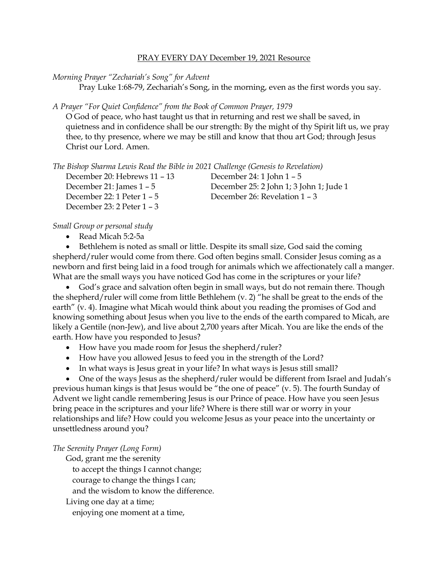# PRAY EVERY DAY December 19, 2021 Resource

## *Morning Prayer "Zechariah's Song" for Advent*

Pray Luke 1:68-79, Zechariah's Song, in the morning, even as the first words you say.

## *A Prayer "For Quiet Confidence" from the Book of Common Prayer, 1979*

O God of peace, who hast taught us that in returning and rest we shall be saved, in quietness and in confidence shall be our strength: By the might of thy Spirit lift us, we pray thee, to thy presence, where we may be still and know that thou art God; through Jesus Christ our Lord. Amen.

| The Bishop Sharma Lewis Read the Bible in 2021 Challenge (Genesis to Revelation) |  |  |
|----------------------------------------------------------------------------------|--|--|
|----------------------------------------------------------------------------------|--|--|

| December 20: Hebrews 11 - 13   | December 24: 1 John 1 - 5               |
|--------------------------------|-----------------------------------------|
| December 21: James $1 - 5$     | December 25: 2 John 1; 3 John 1; Jude 1 |
| December 22: 1 Peter $1 - 5$   | December 26: Revelation $1 - 3$         |
| December 23: $2$ Peter $1 - 3$ |                                         |

*Small Group or personal study*

• Read Micah 5:2-5a

• Bethlehem is noted as small or little. Despite its small size, God said the coming shepherd/ruler would come from there. God often begins small. Consider Jesus coming as a newborn and first being laid in a food trough for animals which we affectionately call a manger. What are the small ways you have noticed God has come in the scriptures or your life?

• God's grace and salvation often begin in small ways, but do not remain there. Though the shepherd/ruler will come from little Bethlehem (v. 2) "he shall be great to the ends of the earth" (v. 4). Imagine what Micah would think about you reading the promises of God and knowing something about Jesus when you live to the ends of the earth compared to Micah, are likely a Gentile (non-Jew), and live about 2,700 years after Micah. You are like the ends of the earth. How have you responded to Jesus?

- How have you made room for Jesus the shepherd/ruler?
- How have you allowed Jesus to feed you in the strength of the Lord?
- In what ways is Jesus great in your life? In what ways is Jesus still small?

• One of the ways Jesus as the shepherd/ruler would be different from Israel and Judah's previous human kings is that Jesus would be "the one of peace" (v. 5). The fourth Sunday of Advent we light candle remembering Jesus is our Prince of peace. How have you seen Jesus bring peace in the scriptures and your life? Where is there still war or worry in your relationships and life? How could you welcome Jesus as your peace into the uncertainty or unsettledness around you?

# *The Serenity Prayer (Long Form)*

God, grant me the serenity

to accept the things I cannot change;

courage to change the things I can;

and the wisdom to know the difference.

Living one day at a time;

enjoying one moment at a time,